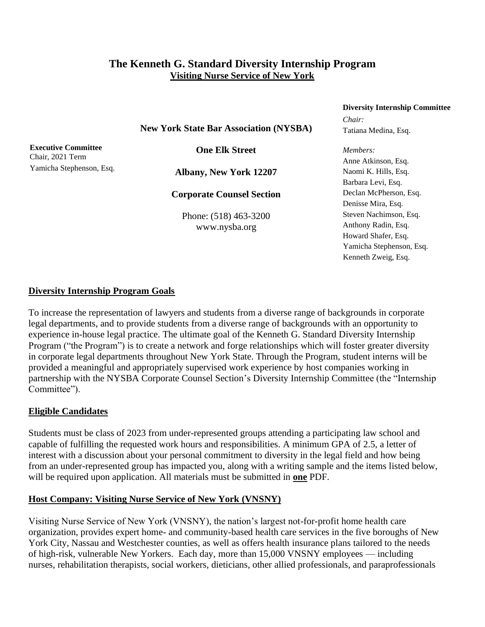## **The Kenneth G. Standard Diversity Internship Program Visiting Nurse Service of New York**

### **Diversity Internship Committee**

**New York State Bar Association (NYSBA)**

**Executive Committee** Chair, 2021 Term Yamicha Stephenson, Esq.

**One Elk Street**

**Albany, New York 12207**

**Corporate Counsel Section**

Phone: (518) 463-3200 www.nysba.org

# *Chair:* Tatiana Medina, Esq.

*Members:* Anne Atkinson, Esq. Naomi K. Hills, Esq. Barbara Levi, Esq. Declan McPherson, Esq. Denisse Mira, Esq. Steven Nachimson, Esq. Anthony Radin, Esq. Howard Shafer, Esq. Yamicha Stephenson, Esq. Kenneth Zweig, Esq.

### **Diversity Internship Program Goals**

To increase the representation of lawyers and students from a diverse range of backgrounds in corporate legal departments, and to provide students from a diverse range of backgrounds with an opportunity to experience in-house legal practice. The ultimate goal of the Kenneth G. Standard Diversity Internship Program ("the Program") is to create a network and forge relationships which will foster greater diversity in corporate legal departments throughout New York State. Through the Program, student interns will be provided a meaningful and appropriately supervised work experience by host companies working in partnership with the NYSBA Corporate Counsel Section's Diversity Internship Committee (the "Internship Committee").

### **Eligible Candidates**

Students must be class of 2023 from under-represented groups attending a participating law school and capable of fulfilling the requested work hours and responsibilities. A minimum GPA of 2.5, a letter of interest with a discussion about your personal commitment to diversity in the legal field and how being from an under-represented group has impacted you, along with a writing sample and the items listed below, will be required upon application. All materials must be submitted in **one** PDF.

### **Host Company: Visiting Nurse Service of New York (VNSNY)**

Visiting Nurse Service of New York (VNSNY), the nation's largest not-for-profit home health care organization, provides expert home- and community-based health care services in the five boroughs of New York City, Nassau and Westchester counties, as well as offers health insurance plans tailored to the needs of high-risk, vulnerable New Yorkers. Each day, more than 15,000 VNSNY employees — including nurses, rehabilitation therapists, social workers, dieticians, other allied professionals, and paraprofessionals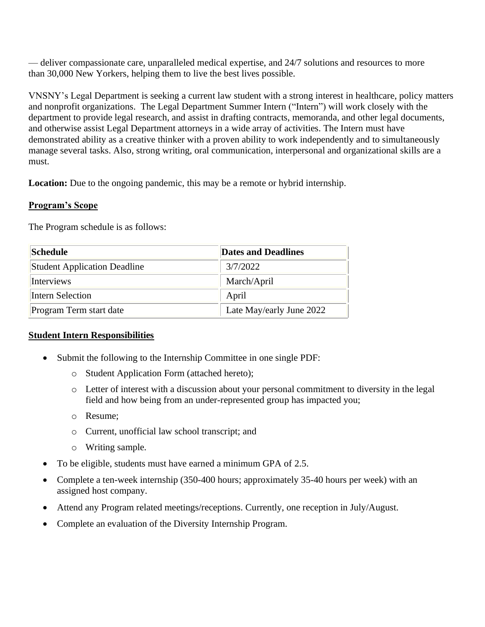— deliver compassionate care, unparalleled medical expertise, and 24/7 solutions and resources to more than 30,000 New Yorkers, helping them to live the best lives possible.

VNSNY's Legal Department is seeking a current law student with a strong interest in healthcare, policy matters and nonprofit organizations. The Legal Department Summer Intern ("Intern") will work closely with the department to provide legal research, and assist in drafting contracts, memoranda, and other legal documents, and otherwise assist Legal Department attorneys in a wide array of activities. The Intern must have demonstrated ability as a creative thinker with a proven ability to work independently and to simultaneously manage several tasks. Also, strong writing, oral communication, interpersonal and organizational skills are a must.

Location: Due to the ongoing pandemic, this may be a remote or hybrid internship.

### **Program's Scope**

The Program schedule is as follows:

| <b>Schedule</b>                     | <b>Dates and Deadlines</b> |
|-------------------------------------|----------------------------|
| <b>Student Application Deadline</b> | 3/7/2022                   |
| <b>Interviews</b>                   | March/April                |
| Intern Selection                    | April                      |
| Program Term start date             | Late May/early June 2022   |

### **Student Intern Responsibilities**

- Submit the following to the Internship Committee in one single PDF:
	- o Student Application Form (attached hereto);
	- o Letter of interest with a discussion about your personal commitment to diversity in the legal field and how being from an under-represented group has impacted you;
	- o Resume;
	- o Current, unofficial law school transcript; and
	- o Writing sample.
- To be eligible, students must have earned a minimum GPA of 2.5.
- Complete a ten-week internship (350-400 hours; approximately 35-40 hours per week) with an assigned host company.
- Attend any Program related meetings/receptions. Currently, one reception in July/August.
- Complete an evaluation of the Diversity Internship Program.